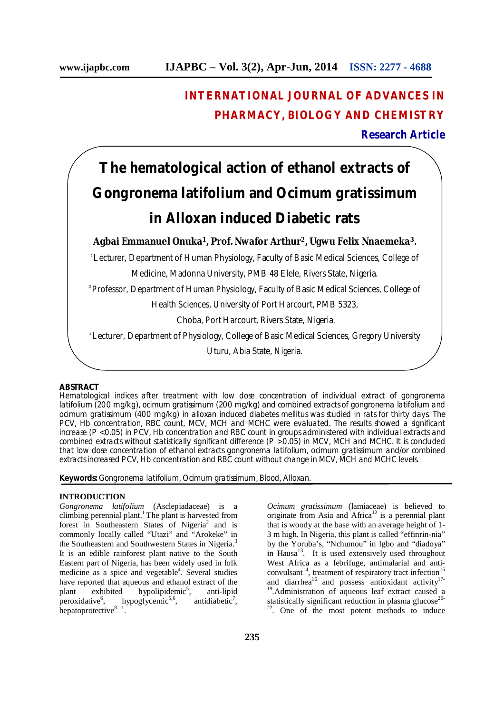# **INTERNATIONAL JOURNAL OF ADVANCES IN PHARMACY, BIOLOGY AND CHEMISTRY**

# **Research Article**

# **The hematological action of ethanol extracts of**  *Gongronema latifolium* **and** *Ocimum gratissimum* **in Alloxan induced Diabetic rats**

**Agbai Emmanuel Onuka<sup>1</sup>, Prof. Nwafor Arthur<sup>2</sup>, Ugwu Felix Nnaemeka<sup>3</sup>.**

<sup>1</sup>Lecturer, Department of Human Physiology, Faculty of Basic Medical Sciences, College of Medicine, Madonna University, PMB 48 Elele, Rivers State, Nigeria.

2 Professor, Department of Human Physiology, Faculty of Basic Medical Sciences, College of

Health Sciences, University of Port Harcourt, PMB 5323,

Choba, Port Harcourt, Rivers State, Nigeria.

3 Lecturer, Department of Physiology, College of Basic Medical Sciences, Gregory University

Uturu, Abia State, Nigeria.

# **ABSTRACT**

Hematological indices after treatment with low dose concentration of individual extract of *gongronema latifolium* (200 mg/kg), *ocimum gratissimum* (200 mg/kg) and combined extracts of *gongronema latifolium* and *ocimum gratissimum* (400 mg/kg) in alloxan induced diabetes mellitus was studied in rats for thirty days. The PCV, Hb concentration, RBC count, MCV, MCH and MCHC were evaluated. The results showed a significant increase (P < 0.05) in PCV, Hb concentration and RBC count in groups administered with individual extracts and combined extracts without statistically significant difference (P > 0.05) in MCV, MCH and MCHC. It is concluded that low dose concentration of ethanol extracts *gongronema latifolium*, *ocimum gratissimum* and/or combined extracts increased PCV, Hb concentration and RBC count without change in MCV, MCH and MCHC levels.

**Keywords:** *Gongronema latifolium, Ocimum gratissimum*, Blood, Alloxan.

## **INTRODUCTION**

*Gongronema latifolium* (Asclepiadaceae) is a climbing perennial plant.<sup>1</sup> The plant is harvested from forest in Southeastern States of Nigeria<sup>2</sup> and is commonly locally called "Utazi" and "Arokeke" in the Southeastern and Southwestern States in Nigeria.<sup>3</sup> It is an edible rainforest plant native to the South Eastern part of Nigeria, has been widely used in folk medicine as a spice and vegetable<sup>4</sup>. Several studies have reported that aqueous and ethanol extract of the<br>plant exhibited hypolipidemic<sup>5</sup>, anti-lipid plant exhibited hypolipidemic<sup>5</sup> , anti-lipid peroxidative<sup>6</sup>, hypoglycemic<sup>5,6</sup>, antidiabetic<sup>7</sup> antidiabetic<sup>7</sup>, hepatoprotective $8-11$ .

*Ocimum gratissimum* (lamiaceae) is believed to originate from Asia and Africa<sup>12</sup> is a perennial plant that is woody at the base with an average height of 1- 3 m high. In Nigeria, this plant is called "effinrin-nia" by the Yoruba's, "Nchumou" in Igbo and "diadoya" in Hausa<sup>13</sup>. It is used extensively used throughout West Africa as a febrifuge, antimalarial and anticonvulsant<sup>14</sup>, treatment of respiratory tract infection<sup>15</sup> and diarrhea<sup>16</sup> and possess antioxidant activity<sup>17-</sup> <sup>19</sup>.Administration of aqueous leaf extract caused a statistically significant reduction in plasma glucose<sup>20-</sup> <sup>22</sup>. One of the most potent methods to induce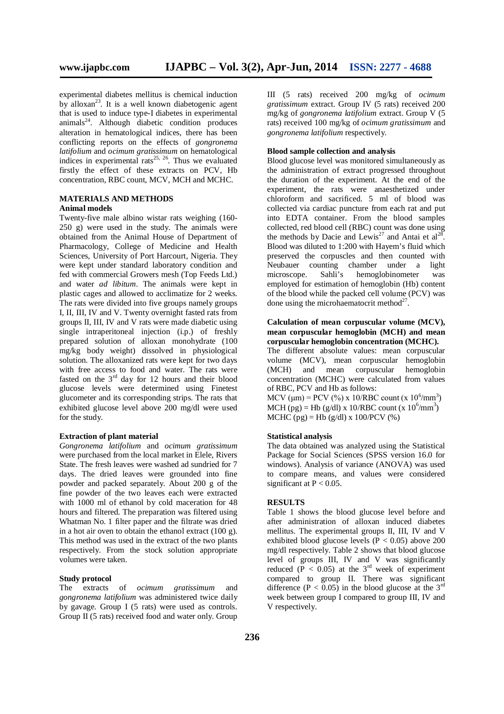experimental diabetes mellitus is chemical induction by alloxan<sup>23</sup>. It is a well known diabetogenic agent that is used to induce type-I diabetes in experimental animals<sup>24</sup>. Although diabetic condition produces alteration in hematological indices, there has been conflicting reports on the effects of *gongronema latifolium* and *ocimum gratissimum* on hematological indices in experimental rats<sup>25, 26</sup>. Thus we evaluated firstly the effect of these extracts on PCV, Hb concentration, RBC count, MCV, MCH and MCHC.

## **MATERIALS AND METHODS Animal models**

Twenty-five male albino wistar rats weighing (160- 250 g) were used in the study. The animals were obtained from the Animal House of Department of Pharmacology, College of Medicine and Health Sciences, University of Port Harcourt, Nigeria. They were kept under standard laboratory condition and fed with commercial Growers mesh (Top Feeds Ltd.) and water *ad libitum*. The animals were kept in plastic cages and allowed to acclimatize for 2 weeks. The rats were divided into five groups namely groups I, II, III, IV and V. Twenty overnight fasted rats from groups II, III, IV and V rats were made diabetic using single intraperitoneal injection (i.p.) of freshly prepared solution of alloxan monohydrate (100 mg/kg body weight) dissolved in physiological solution. The alloxanized rats were kept for two days with free access to food and water. The rats were fasted on the  $3<sup>rd</sup>$  day for 12 hours and their blood glucose levels were determined using Finetest glucometer and its corresponding strips. The rats that exhibited glucose level above 200 mg/dl were used for the study.

#### **Extraction of plant material**

*Gongronema latifolium* and *ocimum gratissimum*  were purchased from the local market in Elele, Rivers State. The fresh leaves were washed ad sundried for 7 days. The dried leaves were grounded into fine powder and packed separately. About 200 g of the fine powder of the two leaves each were extracted with 1000 ml of ethanol by cold maceration for 48 hours and filtered. The preparation was filtered using Whatman No. 1 filter paper and the filtrate was dried in a hot air oven to obtain the ethanol extract (100 g). This method was used in the extract of the two plants respectively. From the stock solution appropriate volumes were taken.

# **Study protocol**

The extracts of *ocimum gratissimum* and *gongronema latifolium* was administered twice daily by gavage. Group I (5 rats) were used as controls. Group II (5 rats) received food and water only. Group

III (5 rats) received 200 mg/kg of *ocimum gratissimum* extract. Group IV (5 rats) received 200 mg/kg of *gongronema latifolium* extract. Group V (5 rats) received 100 mg/kg of *ocimum gratissimum* and *gongronema latifolium* respectively.

#### **Blood sample collection and analysis**

Blood glucose level was monitored simultaneously as the administration of extract progressed throughout the duration of the experiment. At the end of the experiment, the rats were anaesthetized under chloroform and sacrificed. 5 ml of blood was collected via cardiac puncture from each rat and put into EDTA container. From the blood samples collected, red blood cell (RBC) count was done using the methods by Dacie and Lewis<sup>27</sup> and Antai et al<sup>28</sup> . Blood was diluted to 1:200 with Hayem's fluid which preserved the corpuscles and then counted with Neubauer counting chamber under a light<br>microscope. Sahli's hemoglobinometer was microscope. Sahli's hemoglobinometer was employed for estimation of hemoglobin (Hb) content of the blood while the packed cell volume (PCV) was done using the microhaematocrit method $2^7$ .

## **Calculation of mean corpuscular volume (MCV), mean corpuscular hemoglobin (MCH) and mean corpuscular hemoglobin concentration (MCHC).**

The different absolute values: mean corpuscular volume (MCV), mean corpuscular hemoglobin (MCH) and mean corpuscular hemoglobin concentration (MCHC) were calculated from values of RBC, PCV and Hb as follows: MCV ( $\mu$ m) = PCV (%) x 10/RBC count (x 10<sup>6</sup>/mm<sup>3</sup>) MCH  $(pg)$  = Hb (g/dl) x 10/RBC count (x 10<sup>6</sup>/mm<sup>3</sup>) MCHC (pg) = Hb (g/dl) x 100/PCV (%)

#### **Statistical analysis**

The data obtained was analyzed using the Statistical Package for Social Sciences (SPSS version 16.0 for windows). Analysis of variance (ANOVA) was used to compare means, and values were considered significant at  $P < 0.05$ .

#### **RESULTS**

Table 1 shows the blood glucose level before and after administration of alloxan induced diabetes mellitus. The experimental groups II, III, IV and V exhibited blood glucose levels  $(P < 0.05)$  above 200 mg/dl respectively. Table 2 shows that blood glucose level of groups III, IV and V was significantly reduced  $(P < 0.05)$  at the 3<sup>rd</sup> week of experiment compared to group II. There was significant difference ( $P < 0.05$ ) in the blood glucose at the 3<sup>rd</sup> week between group I compared to group III, IV and V respectively.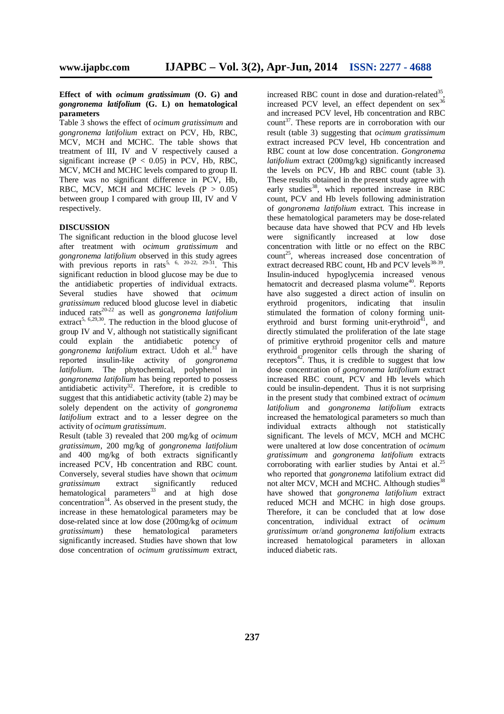## **Effect of with** *ocimum gratissimum* **(O. G) and**  *gongronema latifolium* **(G. L) on hematological parameters**

Table 3 shows the effect of *ocimum gratissimum* and *gongronema latifolium* extract on PCV, Hb, RBC, MCV, MCH and MCHC. The table shows that treatment of III, IV and V respectively caused a significant increase  $(P < 0.05)$  in PCV, Hb, RBC, MCV, MCH and MCHC levels compared to group II. There was no significant difference in PCV, Hb, RBC, MCV, MCH and MCHC levels  $(P > 0.05)$ between group I compared with group III, IV and V respectively.

## **DISCUSSION**

The significant reduction in the blood glucose level after treatment with *ocimum gratissimum* and *gongronema latifolium* observed in this study agrees with previous reports in rats<sup>5, 6, 20-22, 29-31</sup>. This significant reduction in blood glucose may be due to the antidiabetic properties of individual extracts. Several studies have showed that *ocimum gratissimum* reduced blood glucose level in diabetic induced rats20-22 as well as *gongronema latifolium*  extract<sup>5, 6,29,30</sup>. The reduction in the blood glucose of group IV and V, although not statistically significant could explain the antidiabetic potency of *gongronema latifolium* extract. Udoh et al. <sup>31</sup> have reported insulin-like activity of *gongronema latifolium*. The phytochemical, polyphenol in *gongronema latifolium* has being reported to possess antidiabetic activity<sup>32</sup>. Therefore, it is credible to suggest that this antidiabetic activity (table 2) may be solely dependent on the activity of *gongronema latifolium* extract and to a lesser degree on the activity of *ocimum gratissimum*.

Result (table 3) revealed that 200 mg/kg of *ocimum gratissimum*, 200 mg/kg of *gongronema latifolium* and 400 mg/kg of both extracts significantly increased PCV, Hb concentration and RBC count. Conversely, several studies have shown that *ocimum gratissimum* extract significantly reduced hematological parameters $33$  and at high dose concentration<sup>34</sup>. As observed in the present study, the increase in these hematological parameters may be dose-related since at low dose (200mg/kg of *ocimum gratissimum*) these hematological parameters significantly increased. Studies have shown that low dose concentration of *ocimum gratissimum* extract,

increased RBC count in dose and duration-related<sup>35</sup>, increased PCV level, an effect dependent on  $sex^{36}$ and increased PCV level, Hb concentration and RBC count<sup>37</sup>. These reports are in corroboration with our result (table 3) suggesting that *ocimum gratissimum*  extract increased PCV level, Hb concentration and RBC count at low dose concentration. *Gongronema latifolium* extract (200mg/kg) significantly increased the levels on PCV, Hb and RBC count (table 3). These results obtained in the present study agree with early studies<sup>38</sup>, which reported increase in RBC count, PCV and Hb levels following administration of *gongronema latifolium* extract. This increase in these hematological parameters may be dose-related because data have showed that PCV and Hb levels were significantly increased at low dose concentration with little or no effect on the RBC  $count^{25}$ , whereas increased dose concentration of extract decreased RBC count, Hb and PCV levels $38-39$ . Insulin-induced hypoglycemia increased venous hematocrit and decreased plasma volume<sup>40</sup>. Reports have also suggested a direct action of insulin on erythroid progenitors, indicating that insulin stimulated the formation of colony forming uniterythroid and burst forming unit-erythroid<sup> $I_1$ </sup>, and directly stimulated the proliferation of the late stage of primitive erythroid progenitor cells and mature erythroid progenitor cells through the sharing of receptors<sup>42</sup>. Thus, it is credible to suggest that low dose concentration of *gongronema latifolium* extract increased RBC count, PCV and Hb levels which could be insulin-dependent. Thus it is not surprising in the present study that combined extract of *ocimum latifolium* and *gongronema latifolium* extracts increased the hematological parameters so much than individual extracts although not statistically significant. The levels of MCV, MCH and MCHC were unaltered at low dose concentration of *ocimum gratissimum* and *gongronema latifolium* extracts corroborating with earlier studies by Antai et al.<sup>25</sup> who reported that *gongronema* latifolium extract did not alter MCV, MCH and MCHC. Although studies<sup>38</sup> have showed that *gongronema latifolium* extract reduced MCH and MCHC in high dose groups. Therefore, it can be concluded that at low dose concentration, individual extract of *ocimum gratissimum* or/and *gongronema latifolium* extracts increased hematological parameters in alloxan induced diabetic rats.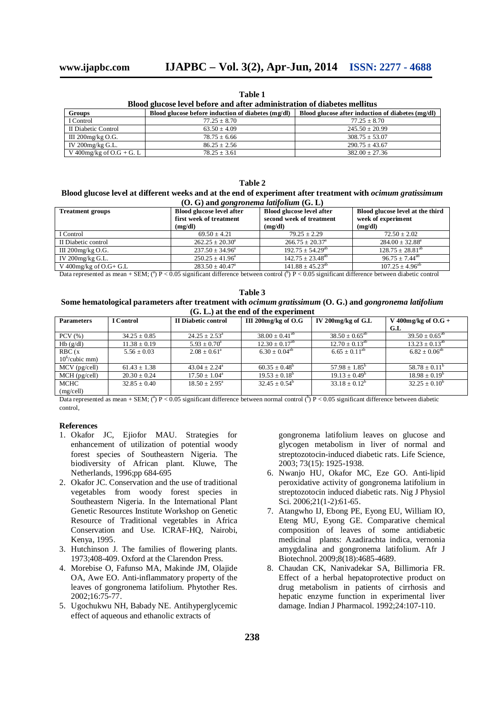**Table 1**

| Blood glucose level before and after administration of diabetes mellitus |                                                      |                                                   |  |  |  |  |
|--------------------------------------------------------------------------|------------------------------------------------------|---------------------------------------------------|--|--|--|--|
| <b>Groups</b>                                                            | Blood glucose before induction of diabetes $(mg/dl)$ | Blood glucose after induction of diabetes (mg/dl) |  |  |  |  |
| I Control                                                                | $77.25 \pm 8.70$                                     | $77.25 \pm 8.70$                                  |  |  |  |  |
| II Diabetic Control                                                      | $63.50 + 4.09$                                       | $245.50 + 20.99$                                  |  |  |  |  |
| III 200 $mg/kg$ O.G.                                                     | $78.75 + 6.66$                                       | $308.75 + 53.07$                                  |  |  |  |  |
| IV $200$ mg/kg G.L.                                                      | $86.25 + 2.56$                                       | $290.75 + 43.67$                                  |  |  |  |  |
| V 400mg/kg of $O.G + G.L$                                                | $78.25 + 3.61$                                       | $382.00 + 27.36$                                  |  |  |  |  |

**Table 2 Blood glucose level at different weeks and at the end of experiment after treatment with** *ocimum gratissimum*  **(O. G) and** *gongronema latifolium* **(G. L)**

| <b>Treatment groups</b>   | <b>Blood glucose level after</b><br>first week of treatment<br>(mg/dl) | Blood glucose level after<br>second week of treatment<br>(mg/dl) | Blood glucose level at the third<br>week of experiment<br>(mg/dl) |
|---------------------------|------------------------------------------------------------------------|------------------------------------------------------------------|-------------------------------------------------------------------|
| I Control                 | $69.50 + 4.21$                                                         | $79.25 + 2.29$                                                   | $72.50 + 2.02$                                                    |
| II Diabetic control       | $262.25 \pm 20.30^a$                                                   | $266.75 \pm 20.37^{\circ}$                                       | $284.00 \pm 32.88^{\circ}$                                        |
| III $200$ mg/kg O.G.      | $237.50 \pm 34.96^a$                                                   | $192.75 \pm 54.29^{ab}$                                          | $128.75 \pm 28.81^{ab}$                                           |
| IV $200$ mg/kg G.L.       | $250.25 \pm 41.96^a$                                                   | $142.75 \pm 23.48^{\text{ab}}$                                   | $96.75 + 7.44^{ab}$                                               |
| V 400 mg/kg of $O.G + GL$ | $283.50 \pm 40.47^{\circ}$                                             | $141.88 \pm 45.23^{ab}$                                          | $107.25 \pm 4.96^{ab}$                                            |

Data represented as mean + SEM;  $(^{a})$  P < 0.05 significant difference between control  $(^{b})$  P < 0.05 significant difference between diabetic control

| Table 3                                                                                                               |
|-----------------------------------------------------------------------------------------------------------------------|
| Some hematological parameters after treatment with <i>ocimum gratissimum</i> (O. G.) and <i>gongronema latifolium</i> |
| $(G, L)$ at the end of the experiment                                                                                 |

| <b>Parameters</b> | <b>I</b> Control | II Diabetic control      | III 200 $mg/kg$ of O.G         | IV 200mg/kg of G.L       | V 400mg/kg of $O.G +$    |
|-------------------|------------------|--------------------------|--------------------------------|--------------------------|--------------------------|
|                   |                  |                          |                                |                          | G.L                      |
| $PCV$ $(\% )$     | $34.25 \pm 0.85$ | $24.25 + 2.53^{\circ}$   | $38.00 \pm 0.41$ <sup>ab</sup> | $38.50 \pm 0.65^{ab}$    | $39.50 \pm 0.65^{ab}$    |
| Hb(g/dl)          | $11.38 \pm 0.19$ | $5.93 \pm 0.70^a$        | $12.30 \pm 0.17^{ab}$          | $12.70 \pm 0.13^{ab}$    | $13.23 \pm 0.13^{ab}$    |
| RBC(x)            | $5.56 \pm 0.03$  | $2.08 + 0.61^a$          | $6.30 \pm 0.04^{ab}$           | $6.65 \pm 0.11^{ab}$     | $6.82 + 0.06^{ab}$       |
| $10^6$ /cubic mm) |                  |                          |                                |                          |                          |
| $MCV$ (pg/cell)   | $61.43 \pm 1.38$ | $43.04 + 2.24^{\circ}$   | $60.35 \pm 0.48^b$             | $57.98 \pm 1.85^{\circ}$ | $58.78 \pm 0.11^{\circ}$ |
| $MCH$ (pg/cell)   | $20.30 \pm 0.24$ | $17.50 \pm 1.04^{\circ}$ | $19.53 \pm 0.18^b$             | $19.13 \pm 0.49^b$       | $18.98 \pm 0.19^b$       |
| MCHC              | $32.85 + 0.40$   | $18.50 + 2.95^{\circ}$   | $32.45 + 0.54^b$               | $33.18 + 0.12^b$         | $32.25 \pm 0.10^6$       |
| (mg/cell)         |                  |                          |                                |                          |                          |

Data represented as mean + SEM;  $(^{a})$  P < 0.05 significant difference between normal control  $(^{b})$  P < 0.05 significant difference between diabetic control,

#### **References**

- 1. Okafor JC, Ejiofor MAU. Strategies for enhancement of utilization of potential woody forest species of Southeastern Nigeria. The biodiversity of African plant. Kluwe, The Netherlands, 1996;pp 684-695
- 2. Okafor JC. Conservation and the use of traditional vegetables from woody forest species in Southeastern Nigeria. In the International Plant Genetic Resources Institute Workshop on Genetic Resource of Traditional vegetables in Africa Conservation and Use. ICRAF-HQ, Nairobi, Kenya, 1995.
- 3. Hutchinson J. The families of flowering plants. 1973;408-409. Oxford at the Clarendon Press.
- 4. Morebise O, Fafunso MA, Makinde JM, Olajide OA, Awe EO. Anti-inflammatory property of the leaves of gongronema latifolium. Phytother Res. 2002;16:75-77.
- 5. Ugochukwu NH, Babady NE. Antihyperglycemic effect of aqueous and ethanolic extracts of

gongronema latifolium leaves on glucose and glycogen metabolism in liver of normal and streptozotocin-induced diabetic rats. Life Science, 2003; 73(15): 1925-1938.

- 6. Nwanjo HU, Okafor MC, Eze GO. Anti-lipid peroxidative activity of gongronema latifolium in streptozotocin induced diabetic rats. Nig J Physiol Sci. 2006;21(1-2):61-65.
- 7. Atangwho IJ, Ebong PE, Eyong EU, William IO, Eteng MU, Eyong GE. Comparative chemical composition of leaves of some antidiabetic medicinal plants: Azadirachta indica, vernonia amygdalina and gongronema latifolium. Afr J Biotechnol. 2009;8(18):4685-4689.
- 8. Chaudan CK, Nanivadekar SA, Billimoria FR. Effect of a herbal hepatoprotective product on drug metabolism in patients of cirrhosis and hepatic enzyme function in experimental liver damage. Indian J Pharmacol. 1992;24:107-110.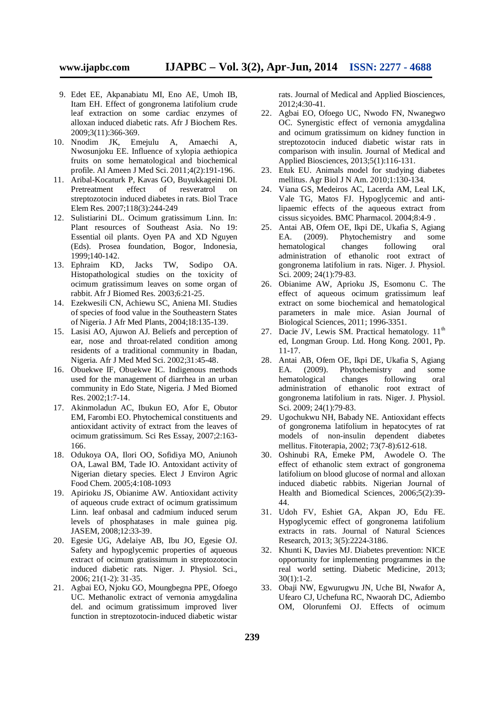- 9. Edet EE, Akpanabiatu MI, Eno AE, Umoh IB, Itam EH. Effect of gongronema latifolium crude leaf extraction on some cardiac enzymes of alloxan induced diabetic rats. Afr J Biochem Res. 2009;3(11):366-369.
- 10. Nnodim JK, Emejulu A, Amaechi A, Nwosunjoku EE. Influence of xylopia aethiopica fruits on some hematological and biochemical profile. Al Ameen J Med Sci. 2011;4(2):191-196.
- 11. Aribal-Kocaturk P, Kavas GO, Buyukkageini DI. Pretreatment effect of resveratrol on streptozotocin induced diabetes in rats. Biol Trace Elem Res. 2007;118(3):244-249
- 12. Sulistiarini DL. Ocimum gratissimum Linn. In: Plant resources of Southeast Asia. No 19: Essential oil plants. Oyen PA and XD Nguyen (Eds). Prosea foundation, Bogor, Indonesia, 1999;140-142.
- 13. Ephraim KD, Jacks TW, Sodipo OA. Histopathological studies on the toxicity of ocimum gratissimum leaves on some organ of rabbit. Afr J Biomed Res. 2003;6:21-25.
- 14. Ezekwesili CN, Achiewu SC, Aniena MI. Studies of species of food value in the Southeastern States of Nigeria. J Afr Med Plants, 2004;18:135-139.
- 15. Lasisi AO, Ajuwon AJ. Beliefs and perception of ear, nose and throat-related condition among residents of a traditional community in Ibadan, Nigeria. Afr J Med Med Sci. 2002;31:45-48.
- 16. Obuekwe IF, Obuekwe IC. Indigenous methods used for the management of diarrhea in an urban community in Edo State, Nigeria. J Med Biomed Res. 2002;1:7-14.
- 17. Akinmoladun AC, Ibukun EO, Afor E, Obutor EM, Farombi EO. Phytochemical constituents and antioxidant activity of extract from the leaves of ocimum gratissimum. Sci Res Essay, 2007;2:163- 166.
- 18. Odukoya OA, Ilori OO, Sofidiya MO, Aniunoh OA, Lawal BM, Tade IO. Antoxidant activity of Nigerian dietary species. Elect J Environ Agric Food Chem. 2005;4:108-1093
- 19. Apirioku JS, Obianime AW. Antioxidant activity of aqueous crude extract of ocimum gratissimum Linn. leaf onbasal and cadmium induced serum levels of phosphatases in male guinea pig. JASEM, 2008;12:33-39.
- 20. Egesie UG, Adelaiye AB, Ibu JO, Egesie OJ. Safety and hypoglycemic properties of aqueous extract of ocimum gratissimum in streptozotocin induced diabetic rats. Niger. J. Physiol. Sci., 2006; 21(1-2): 31-35.
- 21. Agbai EO, Njoku GO, Moungbegna PPE, Ofoego UC. Methanolic extract of vernonia amygdalina del. and ocimum gratissimum improved liver function in streptozotocin-induced diabetic wistar

rats. Journal of Medical and Applied Biosciences, 2012;4:30-41.

- 22. Agbai EO, Ofoego UC, Nwodo FN, Nwanegwo OC. Synergistic effect of vernonia amygdalina and ocimum gratissimum on kidney function in streptozotocin induced diabetic wistar rats in comparison with insulin. Journal of Medical and Applied Biosciences, 2013;5(1):116-131.
- 23. Etuk EU. Animals model for studying diabetes mellitus. Agr Biol J N Am. 2010;1:130-134.
- 24. Viana GS, Medeiros AC, Lacerda AM, Leal LK, Vale TG, Matos FJ. Hypoglycemic and antilipaemic effects of the aqueous extract from cissus sicyoides. BMC Pharmacol. 2004;8:4-9 .
- 25. Antai AB, Ofem OE, Ikpi DE, Ukafia S, Agiang EA. (2009). Phytochemistry and some hematological changes following oral administration of ethanolic root extract of gongronema latifolium in rats. Niger. J. Physiol. Sci. 2009; 24(1):79-83.
- 26. Obianime AW, Aprioku JS, Esomonu C. The effect of aqueous ocimum gratissimum leaf extract on some biochemical and hematological parameters in male mice. Asian Journal of Biological Sciences, 2011; 1996-3351.
- 27. Dacie JV, Lewis SM. Practical hematology. 11<sup>th</sup> ed, Longman Group. Ltd. Hong Kong. 2001, Pp. 11-17.
- 28. Antai AB, Ofem OE, Ikpi DE, Ukafia S, Agiang EA. (2009). Phytochemistry and some hematological changes following oral administration of ethanolic root extract of gongronema latifolium in rats. Niger. J. Physiol. Sci. 2009: 24(1):79-83.
- 29. Ugochukwu NH, Babady NE. Antioxidant effects of gongronema latifolium in hepatocytes of rat models of non-insulin dependent diabetes mellitus. Fitoterapia, 2002; 73(7-8):612-618.
- 30. Oshinubi RA, Emeke PM, Awodele O. The effect of ethanolic stem extract of gongronema latifolium on blood glucose of normal and alloxan induced diabetic rabbits. Nigerian Journal of Health and Biomedical Sciences, 2006;5(2):39- 44.
- 31. Udoh FV, Eshiet GA, Akpan JO, Edu FE. Hypoglycemic effect of gongronema latifolium extracts in rats. Journal of Natural Sciences Research, 2013; 3(5):2224-3186.
- 32. Khunti K, Davies MJ. Diabetes prevention: NICE opportunity for implementing programmes in the real world setting. Diabetic Medicine, 2013;  $30(1):1-2.$
- 33. Obaji NW, Egwurugwu JN, Uche BI, Nwafor A, Ufearo CJ, Uchefuna RC, Nwaorah DC, Adiembo OM, Olorunfemi OJ. Effects of ocimum